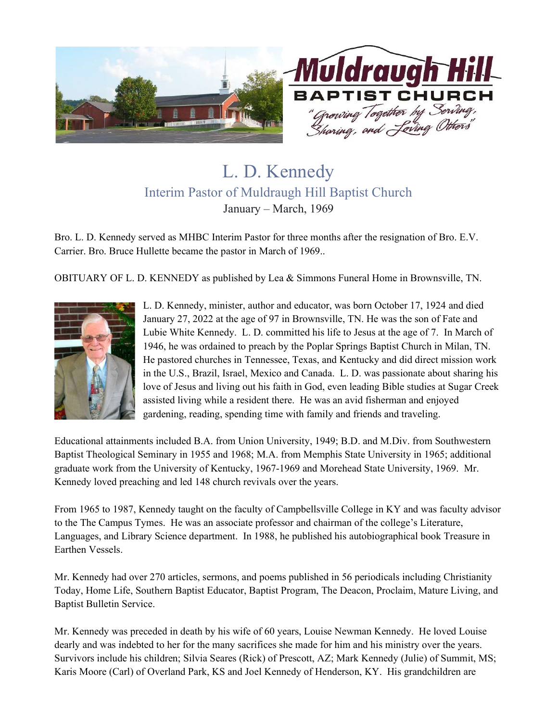

## L. D. Kennedy Interim Pastor of Muldraugh Hill Baptist Church January – March, 1969

Bro. L. D. Kennedy served as MHBC Interim Pastor for three months after the resignation of Bro. E.V. Carrier. Bro. Bruce Hullette became the pastor in March of 1969..

OBITUARY OF L. D. KENNEDY as published by Lea & Simmons Funeral Home in Brownsville, TN.



L. D. Kennedy, minister, author and educator, was born October 17, 1924 and died January 27, 2022 at the age of 97 in Brownsville, TN. He was the son of Fate and Lubie White Kennedy. L. D. committed his life to Jesus at the age of 7. In March of 1946, he was ordained to preach by the Poplar Springs Baptist Church in Milan, TN. He pastored churches in Tennessee, Texas, and Kentucky and did direct mission work in the U.S., Brazil, Israel, Mexico and Canada. L. D. was passionate about sharing his love of Jesus and living out his faith in God, even leading Bible studies at Sugar Creek assisted living while a resident there. He was an avid fisherman and enjoyed gardening, reading, spending time with family and friends and traveling.

Educational attainments included B.A. from Union University, 1949; B.D. and M.Div. from Southwestern Baptist Theological Seminary in 1955 and 1968; M.A. from Memphis State University in 1965; additional graduate work from the University of Kentucky, 1967-1969 and Morehead State University, 1969. Mr. Kennedy loved preaching and led 148 church revivals over the years.

From 1965 to 1987, Kennedy taught on the faculty of Campbellsville College in KY and was faculty advisor to the The Campus Tymes. He was an associate professor and chairman of the college's Literature, Languages, and Library Science department. In 1988, he published his autobiographical book Treasure in Earthen Vessels.

Mr. Kennedy had over 270 articles, sermons, and poems published in 56 periodicals including Christianity Today, Home Life, Southern Baptist Educator, Baptist Program, The Deacon, Proclaim, Mature Living, and Baptist Bulletin Service.

Mr. Kennedy was preceded in death by his wife of 60 years, Louise Newman Kennedy. He loved Louise dearly and was indebted to her for the many sacrifices she made for him and his ministry over the years. Survivors include his children; Silvia Seares (Rick) of Prescott, AZ; Mark Kennedy (Julie) of Summit, MS; Karis Moore (Carl) of Overland Park, KS and Joel Kennedy of Henderson, KY. His grandchildren are